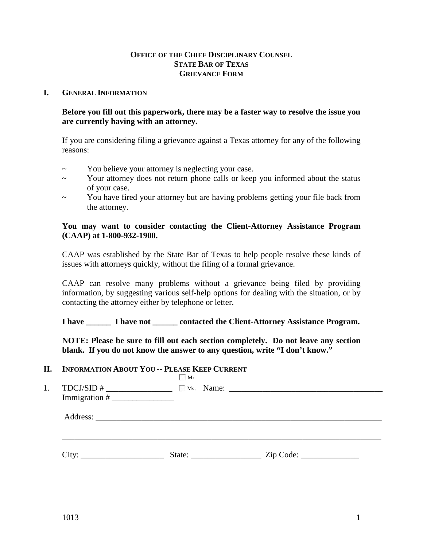## **OFFICE OF THE CHIEF DISCIPLINARY COUNSEL STATE BAR OF TEXAS GRIEVANCE FORM**

#### **I. GENERAL INFORMATION**

**Before you fill out this paperwork, there may be a faster way to resolve the issue you are currently having with an attorney.** 

If you are considering filing a grievance against a Texas attorney for any of the following reasons:

- ~ You believe your attorney is neglecting your case.
- ~ Your attorney does not return phone calls or keep you informed about the status of your case.
- ~ You have fired your attorney but are having problems getting your file back from the attorney.

## **You may want to consider contacting the Client-Attorney Assistance Program (CAAP) at 1-800-932-1900.**

CAAP was established by the State Bar of Texas to help people resolve these kinds of issues with attorneys quickly, without the filing of a formal grievance.

CAAP can resolve many problems without a grievance being filed by providing information, by suggesting various self-help options for dealing with the situation, or by contacting the attorney either by telephone or letter.

**I have \_\_\_\_\_\_ I have not \_\_\_\_\_\_ contacted the Client-Attorney Assistance Program.** 

**NOTE: Please be sure to fill out each section completely. Do not leave any section blank. If you do not know the answer to any question, write "I don't know."**

#### **II. INFORMATION ABOUT YOU -- PLEASE KEEP CURRENT**

| $\frac{1}{2}$ TDCJ/SID #<br>$Immigration \#$ | Mr.    |  |  |
|----------------------------------------------|--------|--|--|
|                                              |        |  |  |
|                                              | State: |  |  |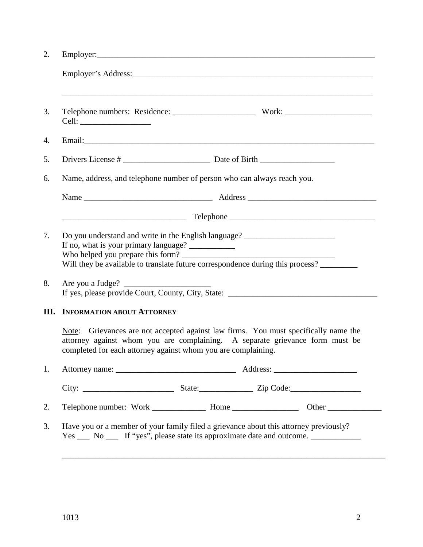| Name, address, and telephone number of person who can always reach you.                                                                                                                                                                               |  |                                                                                                                                                                                              |  |  |  |  |
|-------------------------------------------------------------------------------------------------------------------------------------------------------------------------------------------------------------------------------------------------------|--|----------------------------------------------------------------------------------------------------------------------------------------------------------------------------------------------|--|--|--|--|
|                                                                                                                                                                                                                                                       |  |                                                                                                                                                                                              |  |  |  |  |
|                                                                                                                                                                                                                                                       |  |                                                                                                                                                                                              |  |  |  |  |
| Do you understand and write in the English language? ___________________________<br>If no, what is your primary language? ____________<br>Will they be available to translate future correspondence during this process? ________<br>Are you a Judge? |  |                                                                                                                                                                                              |  |  |  |  |
| <b>INFORMATION ABOUT ATTORNEY</b><br>Ш.                                                                                                                                                                                                               |  |                                                                                                                                                                                              |  |  |  |  |
| completed for each attorney against whom you are complaining.                                                                                                                                                                                         |  | Note: Grievances are not accepted against law firms. You must specifically name the<br>attorney against whom you are complaining. A separate grievance form must be                          |  |  |  |  |
|                                                                                                                                                                                                                                                       |  |                                                                                                                                                                                              |  |  |  |  |
|                                                                                                                                                                                                                                                       |  |                                                                                                                                                                                              |  |  |  |  |
|                                                                                                                                                                                                                                                       |  |                                                                                                                                                                                              |  |  |  |  |
|                                                                                                                                                                                                                                                       |  | Have you or a member of your family filed a grievance about this attorney previously?<br>Yes ______ No ______ If "yes", please state its approximate date and outcome. _____________________ |  |  |  |  |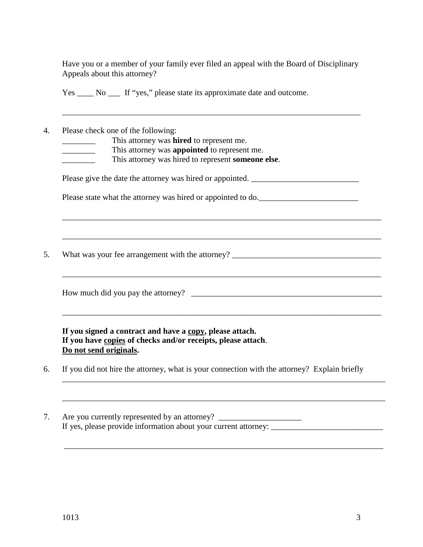Have you or a member of your family ever filed an appeal with the Board of Disciplinary Appeals about this attorney?

\_\_\_\_\_\_\_\_\_\_\_\_\_\_\_\_\_\_\_\_\_\_\_\_\_\_\_\_\_\_\_\_\_\_\_\_\_\_\_\_\_\_\_\_\_\_\_\_\_\_\_\_\_\_\_\_\_\_\_\_\_\_\_\_\_\_\_\_\_\_\_\_

Yes No If "yes," please state its approximate date and outcome.

4. Please check one of the following:

This attorney was **hired** to represent me.

This attorney was **appointed** to represent me.

\_\_\_\_\_\_\_\_ This attorney was hired to represent **someone else**.

Please give the date the attorney was hired or appointed. \_\_\_\_\_\_\_\_\_\_\_\_\_\_\_\_\_\_\_\_\_\_\_

Please state what the attorney was hired or appointed to do.

\_\_\_\_\_\_\_\_\_\_\_\_\_\_\_\_\_\_\_\_\_\_\_\_\_\_\_\_\_\_\_\_\_\_\_\_\_\_\_\_\_\_\_\_\_\_\_\_\_\_\_\_\_\_\_\_\_\_\_\_\_\_\_\_\_\_\_\_\_\_\_\_\_\_\_\_\_

\_\_\_\_\_\_\_\_\_\_\_\_\_\_\_\_\_\_\_\_\_\_\_\_\_\_\_\_\_\_\_\_\_\_\_\_\_\_\_\_\_\_\_\_\_\_\_\_\_\_\_\_\_\_\_\_\_\_\_\_\_\_\_\_\_\_\_\_\_\_\_\_\_\_\_\_\_

\_\_\_\_\_\_\_\_\_\_\_\_\_\_\_\_\_\_\_\_\_\_\_\_\_\_\_\_\_\_\_\_\_\_\_\_\_\_\_\_\_\_\_\_\_\_\_\_\_\_\_\_\_\_\_\_\_\_\_\_\_\_\_\_\_\_\_\_\_\_\_\_\_\_\_\_\_

\_\_\_\_\_\_\_\_\_\_\_\_\_\_\_\_\_\_\_\_\_\_\_\_\_\_\_\_\_\_\_\_\_\_\_\_\_\_\_\_\_\_\_\_\_\_\_\_\_\_\_\_\_\_\_\_\_\_\_\_\_\_\_\_\_\_\_\_\_\_\_\_\_\_\_\_\_

\_\_\_\_\_\_\_\_\_\_\_\_\_\_\_\_\_\_\_\_\_\_\_\_\_\_\_\_\_\_\_\_\_\_\_\_\_\_\_\_\_\_\_\_\_\_\_\_\_\_\_\_\_\_\_\_\_\_\_\_\_\_\_\_\_\_\_\_\_\_\_\_\_\_\_\_\_\_

\_\_\_\_\_\_\_\_\_\_\_\_\_\_\_\_\_\_\_\_\_\_\_\_\_\_\_\_\_\_\_\_\_\_\_\_\_\_\_\_\_\_\_\_\_\_\_\_\_\_\_\_\_\_\_\_\_\_\_\_\_\_\_\_\_\_\_\_\_\_\_\_\_\_\_\_\_\_

\_\_\_\_\_\_\_\_\_\_\_\_\_\_\_\_\_\_\_\_\_\_\_\_\_\_\_\_\_\_\_\_\_\_\_\_\_\_\_\_\_\_\_\_\_\_\_\_\_\_\_\_\_\_\_\_\_\_\_\_\_\_\_\_\_\_\_\_\_\_\_\_\_\_\_\_\_

5. What was your fee arrangement with the attorney? \_\_\_\_\_\_\_\_\_\_\_\_\_\_\_\_\_\_\_\_\_\_\_\_\_\_\_\_

How much did you pay the attorney?

**If you signed a contract and have a copy, please attach. If you have copies of checks and/or receipts, please attach**. **Do not send originals.**

- 6. If you did not hire the attorney, what is your connection with the attorney? Explain briefly
- 7. Are you currently represented by an attorney? \_\_\_\_\_\_\_\_\_\_\_\_\_\_\_\_\_\_\_\_\_\_\_\_\_\_\_\_\_\_\_ If yes, please provide information about your current attorney: \_\_\_\_\_\_\_\_\_\_\_\_\_\_\_\_\_\_\_\_\_\_\_\_\_\_\_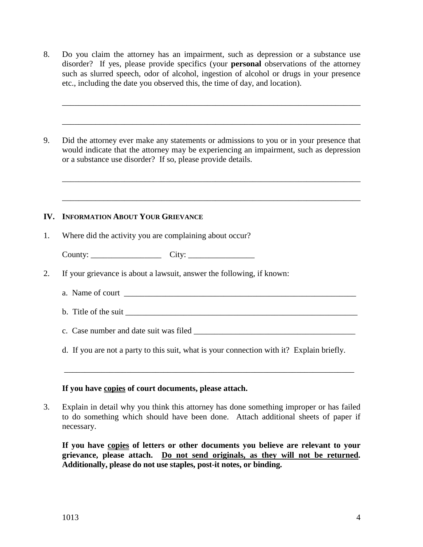8. Do you claim the attorney has an impairment, such as depression or a substance use disorder? If yes, please provide specifics (your **personal** observations of the attorney such as slurred speech, odor of alcohol, ingestion of alcohol or drugs in your presence etc., including the date you observed this, the time of day, and location).

\_\_\_\_\_\_\_\_\_\_\_\_\_\_\_\_\_\_\_\_\_\_\_\_\_\_\_\_\_\_\_\_\_\_\_\_\_\_\_\_\_\_\_\_\_\_\_\_\_\_\_\_\_\_\_\_\_\_\_\_\_\_\_\_\_\_\_\_\_\_\_\_

\_\_\_\_\_\_\_\_\_\_\_\_\_\_\_\_\_\_\_\_\_\_\_\_\_\_\_\_\_\_\_\_\_\_\_\_\_\_\_\_\_\_\_\_\_\_\_\_\_\_\_\_\_\_\_\_\_\_\_\_\_\_\_\_\_\_\_\_\_\_\_\_

\_\_\_\_\_\_\_\_\_\_\_\_\_\_\_\_\_\_\_\_\_\_\_\_\_\_\_\_\_\_\_\_\_\_\_\_\_\_\_\_\_\_\_\_\_\_\_\_\_\_\_\_\_\_\_\_\_\_\_\_\_\_\_\_\_\_\_\_\_\_\_\_

\_\_\_\_\_\_\_\_\_\_\_\_\_\_\_\_\_\_\_\_\_\_\_\_\_\_\_\_\_\_\_\_\_\_\_\_\_\_\_\_\_\_\_\_\_\_\_\_\_\_\_\_\_\_\_\_\_\_\_\_\_\_\_\_\_\_\_\_\_\_\_\_

9. Did the attorney ever make any statements or admissions to you or in your presence that would indicate that the attorney may be experiencing an impairment, such as depression or a substance use disorder? If so, please provide details.

#### **IV. INFORMATION ABOUT YOUR GRIEVANCE**

1. Where did the activity you are complaining about occur?

County: \_\_\_\_\_\_\_\_\_\_\_\_\_\_\_\_\_ City: \_\_\_\_\_\_\_\_\_\_\_\_\_\_\_\_

- 2. If your grievance is about a lawsuit, answer the following, if known:
	- a. Name of court
	- b. Title of the suit

c. Case number and date suit was filed \_\_\_\_\_\_\_\_\_\_\_\_\_\_\_\_\_\_\_\_\_\_\_\_\_\_\_\_\_\_\_\_\_\_\_\_\_\_\_

d. If you are not a party to this suit, what is your connection with it? Explain briefly.

\_\_\_\_\_\_\_\_\_\_\_\_\_\_\_\_\_\_\_\_\_\_\_\_\_\_\_\_\_\_\_\_\_\_\_\_\_\_\_\_\_\_\_\_\_\_\_\_\_\_\_\_\_\_\_\_\_\_\_\_\_\_\_\_\_\_\_\_\_\_

#### **If you have copies of court documents, please attach.**

3. Explain in detail why you think this attorney has done something improper or has failed to do something which should have been done. Attach additional sheets of paper if necessary.

**If you have copies of letters or other documents you believe are relevant to your grievance, please attach. Do not send originals, as they will not be returned. Additionally, please do not use staples, post-it notes, or binding.**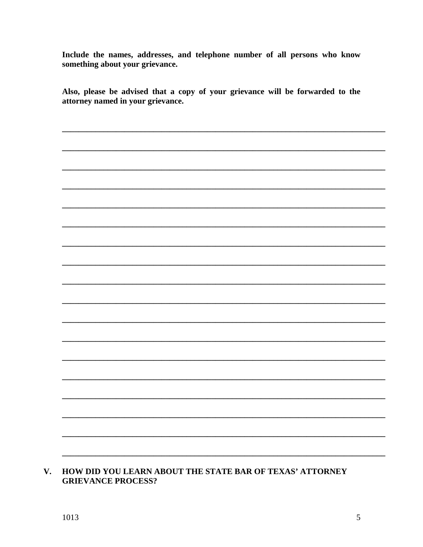Include the names, addresses, and telephone number of all persons who know something about your grievance.

Also, please be advised that a copy of your grievance will be forwarded to the attorney named in your grievance.

V. HOW DID YOU LEARN ABOUT THE STATE BAR OF TEXAS' ATTORNEY **GRIEVANCE PROCESS?**